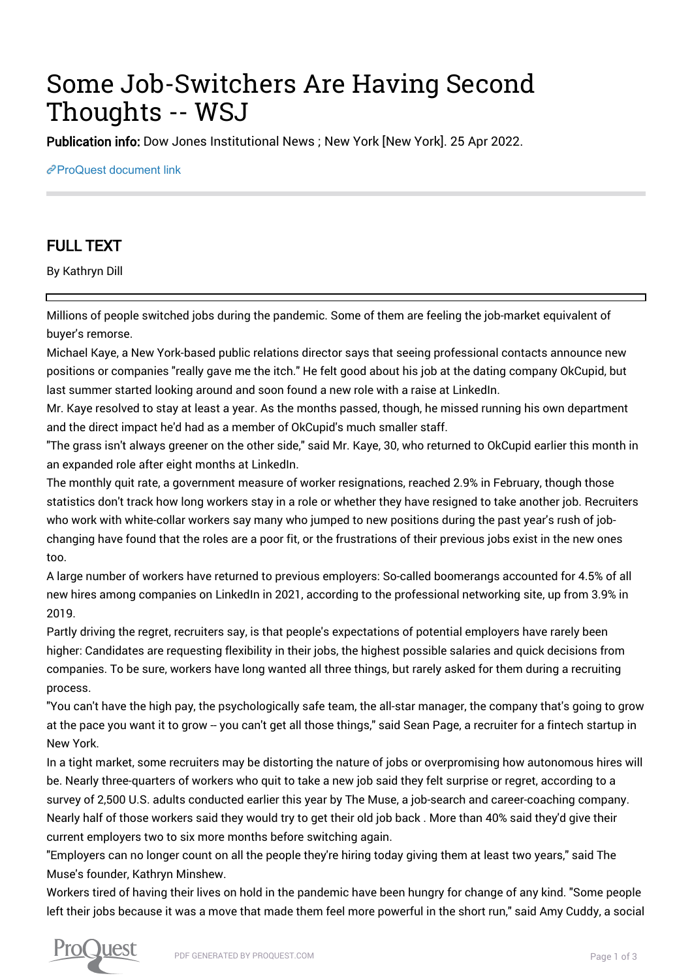## Some Job-Switchers Are Having Second Thoughts -- WSJ

Publication info: Dow Jones Institutional News ; New York [New York]. 25 Apr 2022.

[ProQuest document link](https://www.proquest.com/wire-feeds/some-job-switchers-are-having-second-thoughts-wsj/docview/2654886485/se-2?accountid=44910)

## FULL TEXT

By Kathryn Dill

Millions of people switched jobs during the pandemic. Some of them are feeling the job-market equivalent of buyer's remorse.

Michael Kaye, a New York-based public relations director says that seeing professional contacts announce new positions or companies "really gave me the itch." He felt good about his job at the dating company OkCupid, but last summer started looking around and soon found a new role with a raise at LinkedIn.

Mr. Kaye resolved to stay at least a year. As the months passed, though, he missed running his own department and the direct impact he'd had as a member of OkCupid's much smaller staff.

"The grass isn't always greener on the other side," said Mr. Kaye, 30, who returned to OkCupid earlier this month in an expanded role after eight months at LinkedIn.

The monthly quit rate, a government measure of worker resignations, reached 2.9% in February, though those statistics don't track how long workers stay in a role or whether they have resigned to take another job. Recruiters who work with white-collar workers say many who jumped to new positions during the past year's rush of jobchanging have found that the roles are a poor fit, or the frustrations of their previous jobs exist in the new ones too.

A large number of workers have returned to previous employers: So-called boomerangs accounted for 4.5% of all new hires among companies on LinkedIn in 2021, according to the professional networking site, up from 3.9% in 2019.

Partly driving the regret, recruiters say, is that people's expectations of potential employers have rarely been higher: Candidates are requesting flexibility in their jobs, the highest possible salaries and quick decisions from companies. To be sure, workers have long wanted all three things, but rarely asked for them during a recruiting process.

"You can't have the high pay, the psychologically safe team, the all-star manager, the company that's going to grow at the pace you want it to grow -- you can't get all those things," said Sean Page, a recruiter for a fintech startup in New York.

In a tight market, some recruiters may be distorting the nature of jobs or overpromising how autonomous hires will be. Nearly three-quarters of workers who quit to take a new job said they felt surprise or regret, according to a survey of 2,500 U.S. adults conducted earlier this year by The Muse, a job-search and career-coaching company. Nearly half of those workers said they would try to get their old job back . More than 40% said they'd give their current employers two to six more months before switching again.

"Employers can no longer count on all the people they're hiring today giving them at least two years," said The Muse's founder, Kathryn Minshew.

Workers tired of having their lives on hold in the pandemic have been hungry for change of any kind. "Some people left their jobs because it was a move that made them feel more powerful in the short run," said Amy Cuddy, a social

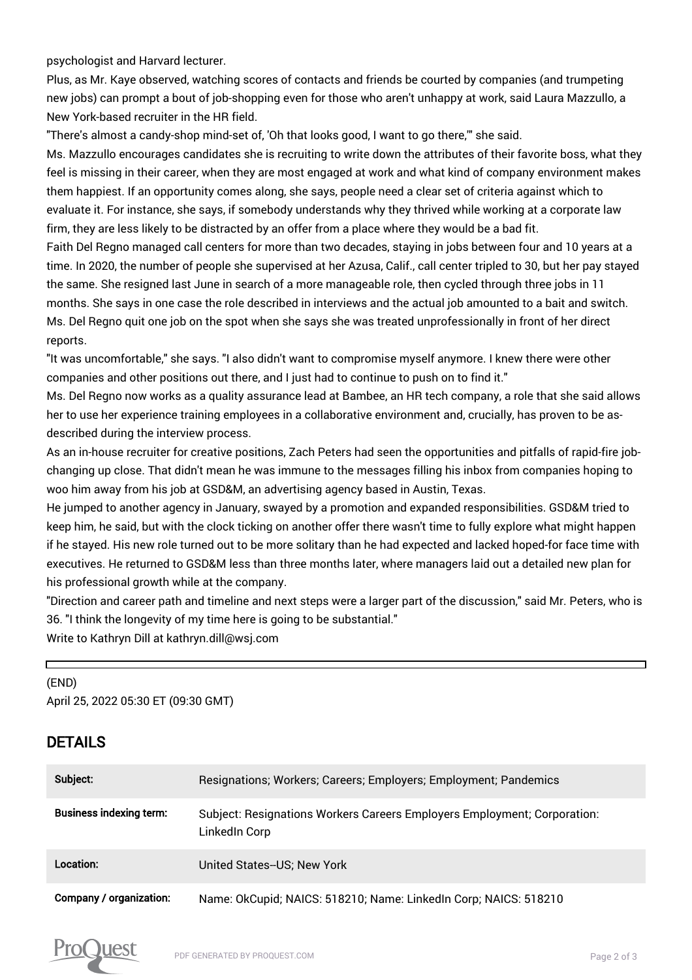psychologist and Harvard lecturer.

Plus, as Mr. Kaye observed, watching scores of contacts and friends be courted by companies (and trumpeting new jobs) can prompt a bout of job-shopping even for those who aren't unhappy at work, said Laura Mazzullo, a New York-based recruiter in the HR field.

"There's almost a candy-shop mind-set of, 'Oh that looks good, I want to go there,'" she said.

Ms. Mazzullo encourages candidates she is recruiting to write down the attributes of their favorite boss, what they feel is missing in their career, when they are most engaged at work and what kind of company environment makes them happiest. If an opportunity comes along, she says, people need a clear set of criteria against which to evaluate it. For instance, she says, if somebody understands why they thrived while working at a corporate law firm, they are less likely to be distracted by an offer from a place where they would be a bad fit.

Faith Del Regno managed call centers for more than two decades, staying in jobs between four and 10 years at a time. In 2020, the number of people she supervised at her Azusa, Calif., call center tripled to 30, but her pay stayed the same. She resigned last June in search of a more manageable role, then cycled through three jobs in 11 months. She says in one case the role described in interviews and the actual job amounted to a bait and switch. Ms. Del Regno quit one job on the spot when she says she was treated unprofessionally in front of her direct reports.

"It was uncomfortable," she says. "I also didn't want to compromise myself anymore. I knew there were other companies and other positions out there, and I just had to continue to push on to find it."

Ms. Del Regno now works as a quality assurance lead at Bambee, an HR tech company, a role that she said allows her to use her experience training employees in a collaborative environment and, crucially, has proven to be asdescribed during the interview process.

As an in-house recruiter for creative positions, Zach Peters had seen the opportunities and pitfalls of rapid-fire jobchanging up close. That didn't mean he was immune to the messages filling his inbox from companies hoping to woo him away from his job at GSD&M, an advertising agency based in Austin, Texas.

He jumped to another agency in January, swayed by a promotion and expanded responsibilities. GSD&M tried to keep him, he said, but with the clock ticking on another offer there wasn't time to fully explore what might happen if he stayed. His new role turned out to be more solitary than he had expected and lacked hoped-for face time with executives. He returned to GSD&M less than three months later, where managers laid out a detailed new plan for his professional growth while at the company.

"Direction and career path and timeline and next steps were a larger part of the discussion," said Mr. Peters, who is 36. "I think the longevity of my time here is going to be substantial."

Write to Kathryn Dill at kathryn.dill@wsj.com

(END) April 25, 2022 05:30 ET (09:30 GMT)

## DETAILS

г

| Subject:                       | Resignations; Workers; Careers; Employers; Employment; Pandemics                          |
|--------------------------------|-------------------------------------------------------------------------------------------|
| <b>Business indexing term:</b> | Subject: Resignations Workers Careers Employers Employment; Corporation:<br>LinkedIn Corp |
| Location:                      | United States--US; New York                                                               |
| <b>Company / organization:</b> | Name: OkCupid; NAICS: 518210; Name: LinkedIn Corp; NAICS: 518210                          |